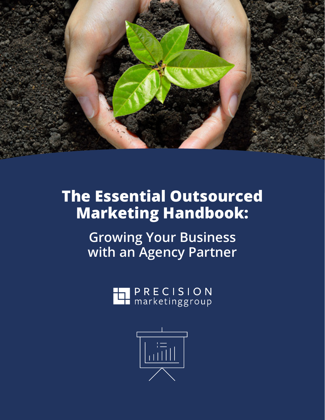

# **The Essential Outsourced Marketing Handbook:**

**Growing Your Business with an Agency Partner**

**PRECISION**<br>**Let** marketinggroup

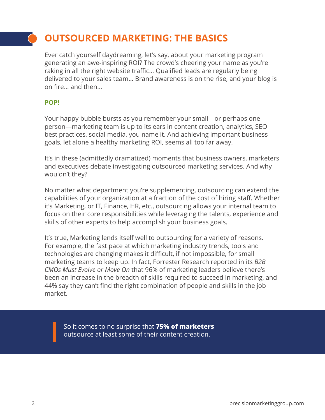## **OUTSOURCED MARKETING: THE BASICS**

Ever catch yourself daydreaming, let's say, about your marketing program generating an awe-inspiring ROI? The crowd's cheering your name as you're raking in all the right website traffic… Qualified leads are regularly being delivered to your sales team… Brand awareness is on the rise, and your blog is on fire… and then…

#### **POP!**

Your happy bubble bursts as you remember your small—or perhaps oneperson—marketing team is up to its ears in content creation, analytics, SEO best practices, social media, you name it. And achieving important business goals, let alone a healthy marketing ROI, seems all too far away.

It's in these (admittedly dramatized) moments that business owners, marketers and executives debate investigating outsourced marketing services. And why wouldn't they?

No matter what department you're supplementing, outsourcing can extend the capabilities of your organization at a fraction of the cost of hiring staff. Whether it's Marketing, or IT, Finance, HR, etc., outsourcing allows your internal team to focus on their core responsibilities while leveraging the talents, experience and skills of other experts to help accomplish your business goals.

It's true, Marketing lends itself well to outsourcing for a variety of reasons. For example, the fast pace at which marketing industry trends, tools and technologies are changing makes it difficult, if not impossible, for small marketing teams to keep up. In fact, Forrester Research reported in its *B2B CMOs Must Evolve or Move On* that 96% of marketing leaders believe there's been an increase in the breadth of skills required to succeed in marketing, and 44% say they can't find the right combination of people and skills in the job market.

So it comes to no surprise that **75% of marketers**  outsource at least some of their content creation.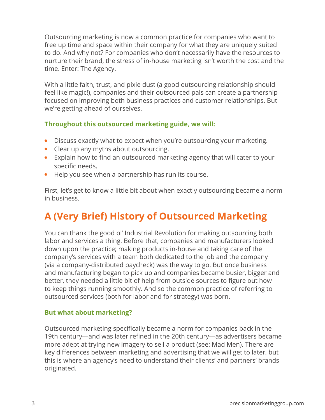Outsourcing marketing is now a common practice for companies who want to free up time and space within their company for what they are uniquely suited to do. And why not? For companies who don't necessarily have the resources to nurture their brand, the stress of in-house marketing isn't worth the cost and the time. Enter: The Agency.

With a little faith, trust, and pixie dust (a good outsourcing relationship should feel like magic!), companies and their outsourced pals can create a partnership focused on improving both business practices and customer relationships. But we're getting ahead of ourselves.

#### **Throughout this outsourced marketing guide, we will:**

- Discuss exactly what to expect when you're outsourcing your marketing.
- Clear up any myths about outsourcing.
- Explain how to find an outsourced marketing agency that will cater to your specific needs.
- Help you see when a partnership has run its course.

First, let's get to know a little bit about when exactly outsourcing became a norm in business.

## **A (Very Brief) History of Outsourced Marketing**

You can thank the good ol' Industrial Revolution for making outsourcing both labor and services a thing. Before that, companies and manufacturers looked down upon the practice; making products in-house and taking care of the company's services with a team both dedicated to the job and the company (via a company-distributed paycheck) was the way to go. But once business and manufacturing began to pick up and companies became busier, bigger and better, they needed a little bit of help from outside sources to figure out how to keep things running smoothly. And so the common practice of referring to outsourced services (both for labor and for strategy) was born.

#### **But what about marketing?**

Outsourced marketing specifically became a norm for companies back in the 19th century—and was later refined in the 20th century—as advertisers became more adept at trying new imagery to sell a product (see: Mad Men). There are key differences between marketing and advertising that we will get to later, but this is where an agency's need to understand their clients' and partners' brands originated.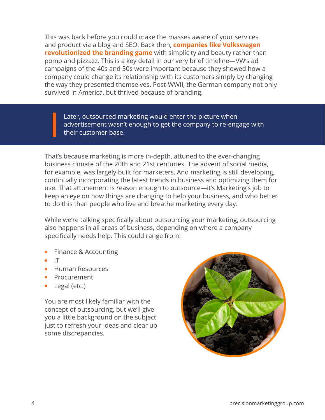This was back before you could make the masses aware of your services and product via a blog and SEO. Back then, **[companies like Volkswagen](https://designshack.net/articles/graphics/the-greatest-print-campaigns-of-all-time-volkswagen-think-small/)  [revolutionized the branding game](https://designshack.net/articles/graphics/the-greatest-print-campaigns-of-all-time-volkswagen-think-small/)** with simplicity and beauty rather than pomp and pizzazz. This is a key detail in our very brief timeline—VW's ad campaigns of the 40s and 50s were important because they showed how a company could change its relationship with its customers simply by changing the way they presented themselves. Post-WWII, the German company not only survived in America, but thrived because of branding.

Later, outsourced marketing would enter the picture when advertisement wasn't enough to get the company to re-engage with their customer base.

That's because marketing is more in-depth, attuned to the ever-changing business climate of the 20th and 21st centuries. The advent of social media, for example, was largely built for marketers. And marketing is still developing, continually incorporating the latest trends in business and optimizing them for use. That attunement is reason enough to outsource—it's Marketing's job to keep an eye on how things are changing to help your business, and who better to do this than people who live and breathe marketing every day.

While we're talking specifically about outsourcing your marketing, outsourcing also happens in all areas of business, depending on where a company specifically needs help. This could range from:

- Finance & Accounting
- IT
- Human Resources
- **Procurement**
- Legal (etc.)

You are most likely familiar with the concept of outsourcing, but we'll give you a little background on the subject just to refresh your ideas and clear up some discrepancies.

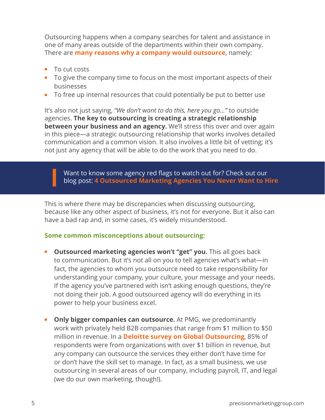Outsourcing happens when a company searches for talent and assistance in one of many areas outside of the departments within their own company. There are **[many reasons why a company would outsource](https://www.precisionmarketinggroup.com/blog/bid/80946/Outsourced-Marketing-4-Key-Benefits)**, namely:

- To cut costs
- To give the company time to focus on the most important aspects of their businesses
- To free up internal resources that could potentially be put to better use

It's also not just saying, *"We don't want to do this, here you go..."* to outside agencies. **The key to outsourcing is creating a strategic relationship between your business and an agency.** We'll stress this over and over again in this piece—a strategic outsourcing relationship that works involves detailed communication and a common vision. It also involves a little bit of vetting; it's not just any agency that will be able to do the work that you need to do.

Want to know some agency red flags to watch out for? Check out our blog post: **[4 Outsourced Marketing Agencies You Never Want to Hire](https://www.precisionmarketinggroup.com/blog/4-outsourced-marketing-agencies-you-never-want-to-hire)**

This is where there may be discrepancies when discussing outsourcing, because like any other aspect of business, it's not for everyone. But it also can have a bad rap and, in some cases, it's widely misunderstood.

#### **Some common misconceptions about outsourcing:**

- **• Outsourced marketing agencies won't "get" you.** This all goes back to communication. But it's not all on you to tell agencies what's what—in fact, the agencies to whom you outsource need to take responsibility for understanding your company, your culture, your message and your needs. If the agency you've partnered with isn't asking enough questions, they're not doing their job. A good outsourced agency will do everything in its power to help your business excel.
- **• Only bigger companies can outsource.** At PMG, we predominantly work with privately held B2B companies that range from \$1 million to \$50 million in revenue. In a **[Deloitte survey on Global Outsourcing](https://www2.deloitte.com/content/dam/Deloitte/nl/Documents/operations/deloitte-nl-s&o-global-outsourcing-survey.pdf)**, 85% of respondents were from organizations with over \$1 billion in revenue, but any company can outsource the services they either don't have time for or don't have the skill set to manage. In fact, as a small business, we use outsourcing in several areas of our company, including payroll, IT, and legal (we do our own marketing, though!).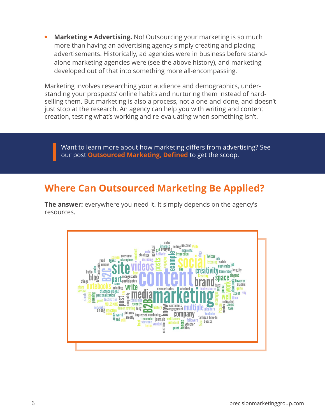• **Marketing = Advertising.** No! Outsourcing your marketing is so much more than having an advertising agency simply creating and placing advertisements. Historically, ad agencies were in business before standalone marketing agencies were (see the above history), and marketing developed out of that into something more all-encompassing.

Marketing involves researching your audience and demographics, understanding your prospects' online habits and nurturing them instead of hardselling them. But marketing is also a process, not a one-and-done, and doesn't just stop at the research. An agency can help you with writing and content creation, testing what's working and re-evaluating when something isn't.

 Want to learn more about how marketing differs from advertising? See our post **[Outsourced Marketing, Defined](https://www.precisionmarketinggroup.com/blog/bid/94660/outsourced-marketing-defined)** to get the scoop.

### **Where Can Outsourced Marketing Be Applied?**

**The answer:** everywhere you need it. It simply depends on the agency's resources.

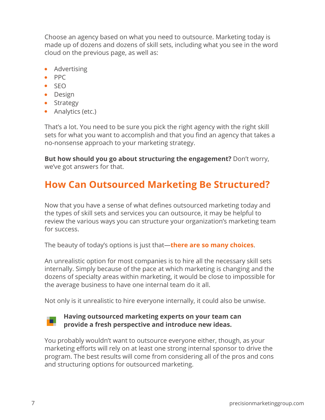Choose an agency based on what you need to outsource. Marketing today is made up of dozens and dozens of skill sets, including what you see in the word cloud on the previous page, as well as:

- Advertising
- PPC
- SEO
- Design
- Strategy
- Analytics (etc.)

That's a lot. You need to be sure you pick the right agency with the right skill sets for what you want to accomplish and that you find an agency that takes a no-nonsense approach to your marketing strategy.

**But how should you go about structuring the engagement?** Don't worry, we've got answers for that.

## **How Can Outsourced Marketing Be Structured?**

Now that you have a sense of what defines outsourced marketing today and the types of skill sets and services you can outsource, it may be helpful to review the various ways you can structure your organization's marketing team for success.

The beauty of today's options is just that—**[there are so many choices](https://www.precisionmarketinggroup.com/blog/outsourced-marketing-structure)**.

An unrealistic option for most companies is to hire all the necessary skill sets internally. Simply because of the pace at which marketing is changing and the dozens of specialty areas within marketing, it would be close to impossible for the average business to have one internal team do it all.

Not only is it unrealistic to hire everyone internally, it could also be unwise.

## ٠.

#### **Having outsourced marketing experts on your team can provide a fresh perspective and introduce new ideas.**

You probably wouldn't want to outsource everyone either, though, as your marketing efforts will rely on at least one strong internal sponsor to drive the program. The best results will come from considering all of the pros and cons and structuring options for outsourced marketing.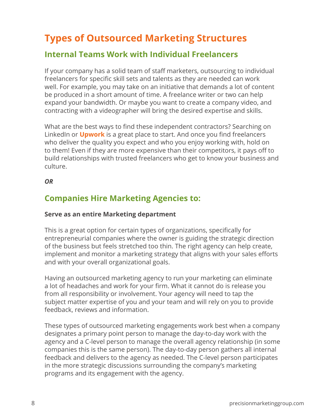### **Types of Outsourced Marketing Structures**

### **Internal Teams Work with Individual Freelancers**

If your company has a solid team of staff marketers, outsourcing to individual freelancers for specific skill sets and talents as they are needed can work well. For example, you may take on an initiative that demands a lot of content be produced in a short amount of time. A freelance writer or two can help expand your bandwidth. Or maybe you want to create a company video, and contracting with a videographer will bring the desired expertise and skills.

What are the best ways to find these independent contractors? Searching on LinkedIn or **[Upwork](https://www.upwork.com)** is a great place to start. And once you find freelancers who deliver the quality you expect and who you enjoy working with, hold on to them! Even if they are more expensive than their competitors, it pays off to build relationships with trusted freelancers who get to know your business and culture.

#### *OR*

### **Companies Hire Marketing Agencies to:**

#### **Serve as an entire Marketing department**

This is a great option for certain types of organizations, specifically for entrepreneurial companies where the owner is guiding the strategic direction of the business but feels stretched too thin. The right agency can help create, implement and monitor a marketing strategy that aligns with your sales efforts and with your overall organizational goals.

Having an outsourced marketing agency to run your marketing can eliminate a lot of headaches and work for your firm. What it cannot do is release you from all responsibility or involvement. Your agency will need to tap the subject matter expertise of you and your team and will rely on you to provide feedback, reviews and information.

These types of outsourced marketing engagements work best when a company designates a primary point person to manage the day-to-day work with the agency and a C-level person to manage the overall agency relationship (in some companies this is the same person). The day-to-day person gathers all internal feedback and delivers to the agency as needed. The C-level person participates in the more strategic discussions surrounding the company's marketing programs and its engagement with the agency.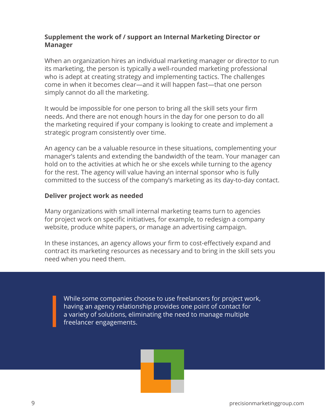#### **Supplement the work of / support an Internal Marketing Director or Manager**

When an organization hires an individual marketing manager or director to run its marketing, the person is typically a well-rounded marketing professional who is adept at creating strategy and implementing tactics. The challenges come in when it becomes clear—and it will happen fast—that one person simply cannot do all the marketing.

It would be impossible for one person to bring all the skill sets your firm needs. And there are not enough hours in the day for one person to do all the marketing required if your company is looking to create and implement a strategic program consistently over time.

An agency can be a valuable resource in these situations, complementing your manager's talents and extending the bandwidth of the team. Your manager can hold on to the activities at which he or she excels while turning to the agency for the rest. The agency will value having an internal sponsor who is fully committed to the success of the company's marketing as its day-to-day contact.

#### **Deliver project work as needed**

Many organizations with small internal marketing teams turn to agencies for project work on specific initiatives, for example, to redesign a company website, produce white papers, or manage an advertising campaign.

In these instances, an agency allows your firm to cost-effectively expand and contract its marketing resources as necessary and to bring in the skill sets you need when you need them.

While some companies choose to use freelancers for project work, having an agency relationship provides one point of contact for a variety of solutions, eliminating the need to manage multiple freelancer engagements.

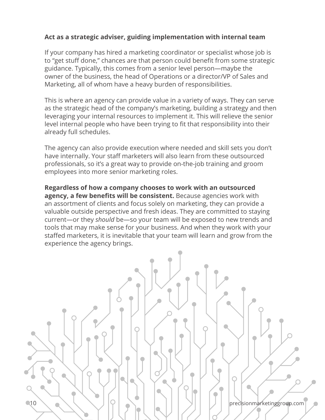#### **Act as a strategic adviser, guiding implementation with internal team**

If your company has hired a marketing coordinator or specialist whose job is to "get stuff done," chances are that person could benefit from some strategic guidance. Typically, this comes from a senior level person—maybe the owner of the business, the head of Operations or a director/VP of Sales and Marketing, all of whom have a heavy burden of responsibilities.

This is where an agency can provide value in a variety of ways. They can serve as the strategic head of the company's marketing, building a strategy and then leveraging your internal resources to implement it. This will relieve the senior level internal people who have been trying to fit that responsibility into their already full schedules.

The agency can also provide execution where needed and skill sets you don't have internally. Your staff marketers will also learn from these outsourced professionals, so it's a great way to provide on-the-job training and groom employees into more senior marketing roles.

**Regardless of how a company chooses to work with an outsourced agency, a few benefits will be consistent.** Because agencies work with an assortment of clients and focus solely on marketing, they can provide a valuable outside perspective and fresh ideas. They are committed to staying current—or they *should* be—so your team will be exposed to new trends and tools that may make sense for your business. And when they work with your staffed marketers, it is inevitable that your team will learn and grow from the experience the agency brings.

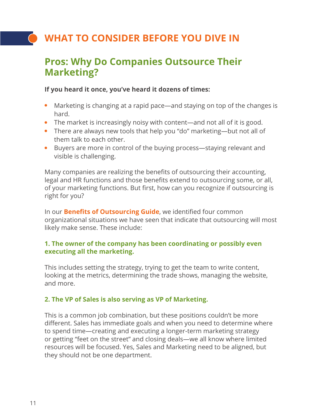## **WHAT TO CONSIDER BEFORE YOU DIVE IN**

### **Pros: Why Do Companies Outsource Their Marketing?**

#### **If you heard it once, you've heard it dozens of times:**

- Marketing is changing at a rapid pace—and staying on top of the changes is hard.
- The market is increasingly noisy with content—and not all of it is good.
- There are always new tools that help you "do" marketing—but not all of them talk to each other.
- Buyers are more in control of the buying process—staying relevant and visible is challenging.

Many companies are realizing the benefits of outsourcing their accounting, legal and HR functions and those benefits extend to outsourcing some, or all, of your marketing functions. But first, how can you recognize if outsourcing is right for you?

In our **[Benefits of Outsourcing Guide](https://www.precisionmarketinggroup.com/outsourced-marketing-benefits)**, we identified four common organizational situations we have seen that indicate that outsourcing will most likely make sense. These include:

#### **1. The owner of the company has been coordinating or possibly even executing all the marketing.**

This includes setting the strategy, trying to get the team to write content, looking at the metrics, determining the trade shows, managing the website, and more.

#### **2. The VP of Sales is also serving as VP of Marketing.**

This is a common job combination, but these positions couldn't be more different. Sales has immediate goals and when you need to determine where to spend time—creating and executing a longer-term marketing strategy or getting "feet on the street" and closing deals—we all know where limited resources will be focused. Yes, Sales and Marketing need to be aligned, but they should not be one department.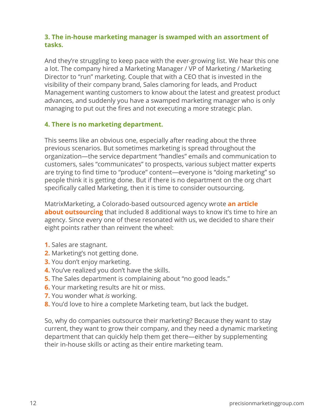#### **3. The in-house marketing manager is swamped with an assortment of tasks.**

And they're struggling to keep pace with the ever-growing list. We hear this one a lot. The company hired a Marketing Manager / VP of Marketing / Marketing Director to "run" marketing. Couple that with a CEO that is invested in the visibility of their company brand, Sales clamoring for leads, and Product Management wanting customers to know about the latest and greatest product advances, and suddenly you have a swamped marketing manager who is only managing to put out the fires and not executing a more strategic plan.

#### **4. There is no marketing department.**

This seems like an obvious one, especially after reading about the three previous scenarios. But sometimes marketing is spread throughout the organization—the service department "handles" emails and communication to customers, sales "communicates" to prospects, various subject matter experts are trying to find time to "produce" content—everyone is "doing marketing" so people think it is getting done. But if there is no department on the org chart specifically called Marketing, then it is time to consider outsourcing.

MatrixMarketing, a Colorado-based outsourced agency wrote **[an article](https://www.matrixmarketinggroup.com/8-benefits-hiring-marketing-agency/)  [about outsourcing](https://www.matrixmarketinggroup.com/8-benefits-hiring-marketing-agency/)** that included 8 additional ways to know it's time to hire an agency. Since every one of these resonated with us, we decided to share their eight points rather than reinvent the wheel:

- **1.** Sales are stagnant.
- **2.** Marketing's not getting done.
- **3.** You don't enjoy marketing.
- **4.** You've realized you don't have the skills.
- **5.** The Sales department is complaining about "no good leads."
- **6.** Your marketing results are hit or miss.
- **7.** You wonder what *is* working.
- **8.** You'd love to hire a complete Marketing team, but lack the budget.

So, why do companies outsource their marketing? Because they want to stay current, they want to grow their company, and they need a dynamic marketing department that can quickly help them get there—either by supplementing their in-house skills or acting as their entire marketing team.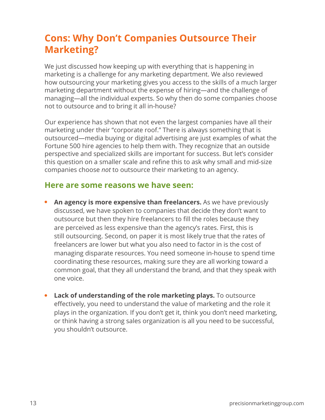### **Cons: Why Don't Companies Outsource Their Marketing?**

We just discussed how keeping up with everything that is happening in marketing is a challenge for any marketing department. We also reviewed how outsourcing your marketing gives you access to the skills of a much larger marketing department without the expense of hiring—and the challenge of managing—all the individual experts. So why then do some companies choose not to outsource and to bring it all in-house?

Our experience has shown that not even the largest companies have all their marketing under their "corporate roof." There is always something that is outsourced—media buying or digital advertising are just examples of what the Fortune 500 hire agencies to help them with. They recognize that an outside perspective and specialized skills are important for success. But let's consider this question on a smaller scale and refine this to ask why small and mid-size companies choose *not* to outsource their marketing to an agency.

### **Here are some reasons we have seen:**

- **An agency is more expensive than freelancers.** As we have previously discussed, we have spoken to companies that decide they don't want to outsource but then they hire freelancers to fill the roles because they are perceived as less expensive than the agency's rates. First, this is still outsourcing. Second, on paper it is most likely true that the rates of freelancers are lower but what you also need to factor in is the cost of managing disparate resources. You need someone in-house to spend time coordinating these resources, making sure they are all working toward a common goal, that they all understand the brand, and that they speak with one voice.
- **• Lack of understanding of the role marketing plays.** To outsource effectively, you need to understand the value of marketing and the role it plays in the organization. If you don't get it, think you don't need marketing, or think having a strong sales organization is all you need to be successful, you shouldn't outsource.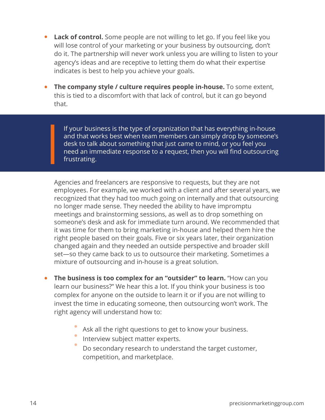- **• Lack of control.** Some people are not willing to let go. If you feel like you will lose control of your marketing or your business by outsourcing, don't do it. The partnership will never work unless you are willing to listen to your agency's ideas and are receptive to letting them do what their expertise indicates is best to help you achieve your goals.
- **•• The company style / culture requires people in-house.** To some extent, this is tied to a discomfort with that lack of control, but it can go beyond that.

If your business is the type of organization that has everything in-house and that works best when team members can simply drop by someone's desk to talk about something that just came to mind, or you feel you need an immediate response to a request, then you will find outsourcing frustrating.

Agencies and freelancers are responsive to requests, but they are not employees. For example, we worked with a client and after several years, we recognized that they had too much going on internally and that outsourcing no longer made sense. They needed the ability to have impromptu meetings and brainstorming sessions, as well as to drop something on someone's desk and ask for immediate turn around. We recommended that it was time for them to bring marketing in-house and helped them hire the right people based on their goals. Five or six years later, their organization changed again and they needed an outside perspective and broader skill set—so they came back to us to outsource their marketing. Sometimes a mixture of outsourcing and in-house is a great solution.

- **•** The business is too complex for an "outsider" to learn. "How can you learn our business?" We hear this a lot. If you think your business is too complex for anyone on the outside to learn it or if you are not willing to invest the time in educating someone, then outsourcing won't work. The right agency will understand how to:
	- Ask all the right questions to get to know your business.
	- Interview subject matter experts.
	- Do secondary research to understand the target customer, competition, and marketplace.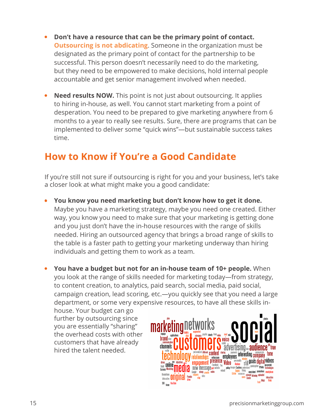- <span id="page-14-0"></span>**• Don't have a resource that can be the primary point of contact. [Outsourcing is not abdicating](https://www.precisionmarketinggroup.com/blog/when-outsourced-marketing-fails)**. Someone in the organization must be designated as the primary point of contact for the partnership to be successful. This person doesn't necessarily need to do the marketing, but they need to be empowered to make decisions, hold internal people accountable and get senior management involved when needed.
- **Need results NOW.** This point is not just about outsourcing. It applies to hiring in-house, as well. You cannot start marketing from a point of desperation. You need to be prepared to give marketing anywhere from 6 months to a year to really see results. Sure, there are programs that can be implemented to deliver some "quick wins"—but sustainable success takes time.

### **How to Know if You're a Good Candidate**

If you're still not sure if outsourcing is right for you and your business, let's take a closer look at what might make you a good candidate:

- **• You know you need marketing but don't know how to get it done.** Maybe you have a marketing strategy, maybe you need one created. Either way, you know you need to make sure that your marketing is getting done and you just don't have the in-house resources with the range of skills needed. Hiring an outsourced agency that brings a broad range of skills to the table is a faster path to getting your marketing underway than hiring individuals and getting them to work as a team.
- **• You have a budget but not for an in-house team of 10+ people.** When you look at the range of skills needed for marketing today—from strategy, to content creation, to analytics, paid search, social media, paid social, campaign creation, lead scoring, etc.—you quickly see that you need a large department, or some very expensive resources, to have all these skills in-

house. Your budget can go further by outsourcing since you are essentially "sharing" the overhead costs with other customers that have already hired the talent needed.

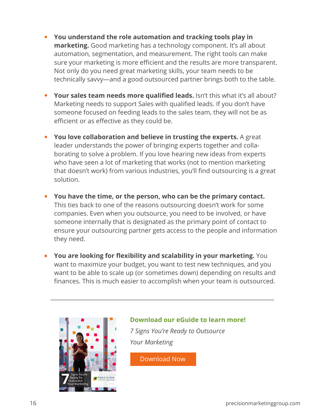- **• You understand the role automation and tracking tools play in marketing.** Good marketing has a technology component. It's all about automation, segmentation, and measurement. The right tools can make sure your marketing is more efficient and the results are more transparent. Not only do you need great marketing skills, your team needs to be technically savvy—and a good outsourced partner brings both to the table.
- **• Your sales team needs more qualified leads.** Isn't this what it's all about? Marketing needs to support Sales with qualified leads. If you don't have someone focused on feeding leads to the sales team, they will not be as efficient or as effective as they could be.
- **• You love collaboration and believe in trusting the experts.** A great leader understands the power of bringing experts together and collaborating to solve a problem. If you love hearing new ideas from experts who have seen a lot of marketing that works (not to mention marketing that doesn't work) from various industries, you'll find outsourcing is a great solution.
- **• You have the time, or the person, who can be the primary contact.** This ties back to one of the reasons outsourcing doesn't work for some companies. Even when you outsource, you need to be involved, or have someone internally that is designated as the primary point of contact to ensure your outsourcing partner gets access to the people and information they need.
- **• You are looking for flexibility and scalability in your marketing.** You want to maximize your budget, you want to test new techniques, and you want to be able to scale up (or sometimes down) depending on results and finances. This is much easier to accomplish when your team is outsourced.



**Download our eGuide to learn more!** *7 Signs You're Ready to Outsource Your Marketing*

[Download Now](https://www.precisionmarketinggroup.com/outsourced-marketing)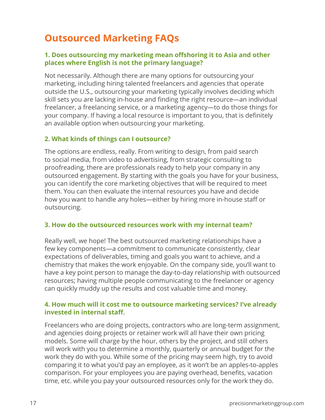## **Outsourced Marketing FAQs**

#### **1. Does outsourcing my marketing mean offshoring it to Asia and other places where English is not the primary language?**

Not necessarily. Although there are many options for outsourcing your marketing, including hiring talented freelancers and agencies that operate outside the U.S., outsourcing your marketing typically involves deciding which skill sets you are lacking in-house and finding the right resource—an individual freelancer, a freelancing service, or a marketing agency—to do those things for your company. If having a local resource is important to you, that is definitely an available option when outsourcing your marketing.

#### **2. What kinds of things can I outsource?**

The options are endless, really. From writing to design, from paid search to social media, from video to advertising, from strategic consulting to proofreading, there are professionals ready to help your company in any outsourced engagement. By starting with the goals you have for your business, you can identify the core marketing objectives that will be required to meet them. You can then evaluate the internal resources you have and decide how you want to handle any holes—either by hiring more in-house staff or outsourcing.

#### **3. How do the outsourced resources work with my internal team?**

Really well, we hope! The best outsourced marketing relationships have a few key components—a commitment to communicate consistently, clear expectations of deliverables, timing and goals you want to achieve, and a chemistry that makes the work enjoyable. On the company side, you'll want to have a key point person to manage the day-to-day relationship with outsourced resources; having multiple people communicating to the freelancer or agency can quickly muddy up the results and cost valuable time and money.

#### **4. How much will it cost me to outsource marketing services? I've already invested in internal staff.**

Freelancers who are doing projects, contractors who are long-term assignment, and agencies doing projects or retainer work will all have their own pricing models. Some will charge by the hour, others by the project, and still others will work with you to determine a monthly, quarterly or annual budget for the work they do with you. While some of the pricing may seem high, try to avoid comparing it to what you'd pay an employee, as it won't be an apples-to-apples comparison. For your employees you are paying overhead, benefits, vacation time, etc. while you pay your outsourced resources only for the work they do.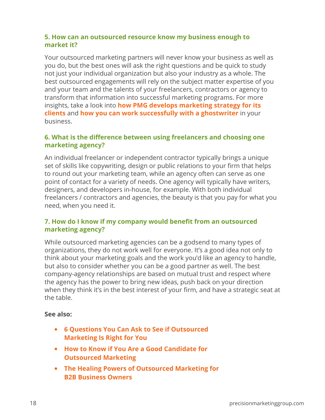#### **5. How can an outsourced resource know my business enough to market it?**

Your outsourced marketing partners will never know your business as well as you do, but the best ones will ask the right questions and be quick to study not just your individual organization but also your industry as a whole. The best outsourced engagements will rely on the subject matter expertise of you and your team and the talents of your freelancers, contractors or agency to transform that information into successful marketing programs. For more insights, take a look into **[how PMG develops marketing strategy for its](https://www.precisionmarketinggroup.com/blog/behind-the-curtain-how-we-develop-your-b2b-marketing-strategy)  [clients](https://www.precisionmarketinggroup.com/blog/behind-the-curtain-how-we-develop-your-b2b-marketing-strategy)** and **[how you can work successfully with a ghostwriter](https://www.precisionmarketinggroup.com/blog/thinking-about-hiring-a-blog-ghostwriter-heres-what-you-should-know)** in your business.

#### **6. What is the difference between using freelancers and choosing one marketing agency?**

An individual freelancer or independent contractor typically brings a unique set of skills like copywriting, design or public relations to your firm that helps to round out your marketing team, while an agency often can serve as one point of contact for a variety of needs. One agency will typically have writers, designers, and developers in-house, for example. With both individual freelancers / contractors and agencies, the beauty is that you pay for what you need, when you need it.

#### **7. How do I know if my company would benefit from an outsourced marketing agency?**

While outsourced marketing agencies can be a godsend to many types of organizations, they do not work well for everyone. It's a good idea not only to think about your marketing goals and the work you'd like an agency to handle, but also to consider whether you can be a good partner as well. The best company-agency relationships are based on mutual trust and respect where the agency has the power to bring new ideas, push back on your direction when they think it's in the best interest of your firm, and have a strategic seat at the table.

#### **See also:**

- **• [6 Questions You Can Ask to See if Outsourced](https://www.precisionmarketinggroup.com/blog/bid/94947/Is-an-Outsourced-Marketing-Department-Right-for-Your-Company)  [Marketing Is Right for You](https://www.precisionmarketinggroup.com/blog/bid/94947/Is-an-Outsourced-Marketing-Department-Right-for-Your-Company)**
- **• [How to Know if You Are a Good Candidate for](#page-14-0)  [Outsourced Marketing](#page-14-0)**
- **• [The Healing Powers of Outsourced Marketing for](https://www.precisionmarketinggroup.com/blog/the-healing-powers-of-outsourced-marketing-for-b2b-company-owners)  [B2B Business Owners](https://www.precisionmarketinggroup.com/blog/the-healing-powers-of-outsourced-marketing-for-b2b-company-owners)**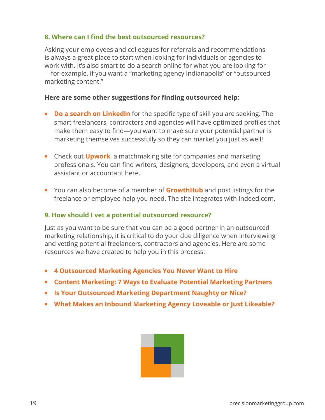#### **8. Where can I find the best outsourced resources?**

Asking your employees and colleagues for referrals and recommendations is always a great place to start when looking for individuals or agencies to work with. It's also smart to do a search online for what you are looking for —for example, if you want a "marketing agency Indianapolis" or "outsourced marketing content."

#### **Here are some other suggestions for finding outsourced help:**

- **• [Do a search on LinkedIn](https://www.linkedin.com)** for the specific type of skill you are seeking. The smart freelancers, contractors and agencies will have optimized profiles that make them easy to find—you want to make sure your potential partner is marketing themselves successfully so they can market you just as well!
- Check out **[Upwork](https://www.upwork.com)**, a matchmaking site for companies and marketing professionals. You can find writers, designers, developers, and even a virtual assistant or accountant here.
- You can also become of a member of **[GrowthHub](https://growth.org/)** and post listings for the freelance or employee help you need. The site integrates with Indeed.com.

#### **9. How should I vet a potential outsourced resource?**

Just as you want to be sure that you can be a good partner in an outsourced marketing relationship, it is critical to do your due diligence when interviewing and vetting potential freelancers, contractors and agencies. Here are some resources we have created to help you in this process:

- **• [4 Outsourced Marketing Agencies You Never Want to Hire](https://www.precisionmarketinggroup.com/blog/4-outsourced-marketing-agencies-you-never-want-to-hire)**
- **• [Content Marketing: 7 Ways to Evaluate Potential Marketing Partners](https://www.precisionmarketinggroup.com/blog/bid/97611/Content-Marketing-Services-7-Ways-to-Evaluate-Potential-Marketing-Partners)**
- **• [Is Your Outsourced Marketing Department Naughty or Nice?](https://www.precisionmarketinggroup.com/blog/is-your-outsourced-marketing-department-naughty-or-nice)**
- **• [What Makes an Inbound Marketing Agency Loveable or Just Likeable?](https://www.precisionmarketinggroup.com/blog/what-makes-an-inbound-marketing-agency-lovable-vs.-just-likeable)**

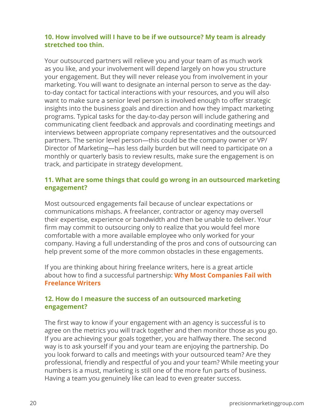#### **10. How involved will I have to be if we outsource? My team is already stretched too thin.**

Your outsourced partners will relieve you and your team of as much work as you like, and your involvement will depend largely on how you structure your engagement. But they will never release you from involvement in your marketing. You will want to designate an internal person to serve as the dayto-day contact for tactical interactions with your resources, and you will also want to make sure a senior level person is involved enough to offer strategic insights into the business goals and direction and how they impact marketing programs. Typical tasks for the day-to-day person will include gathering and communicating client feedback and approvals and coordinating meetings and interviews between appropriate company representatives and the outsourced partners. The senior level person—this could be the company owner or VP/ Director of Marketing—has less daily burden but will need to participate on a monthly or quarterly basis to review results, make sure the engagement is on track, and participate in strategy development.

#### **11. What are some things that could go wrong in an outsourced marketing engagement?**

Most outsourced engagements fail because of unclear expectations or communications mishaps. A freelancer, contractor or agency may oversell their expertise, experience or bandwidth and then be unable to deliver. Your firm may commit to outsourcing only to realize that you would feel more comfortable with a more available employee who only worked for your company. Having a full understanding of the pros and cons of outsourcing can help prevent some of the more common obstacles in these engagements.

If you are thinking about hiring freelance writers, here is a great article about how to find a successful partnership: **[Why Most Companies Fail with](https://www.precisionmarketinggroup.com/blog/the-struggle-is-real-why-most-companies-fail-with-freelance-writers)  [Freelance Writers](https://www.precisionmarketinggroup.com/blog/the-struggle-is-real-why-most-companies-fail-with-freelance-writers)**

#### **12. How do I measure the success of an outsourced marketing engagement?**

The first way to know if your engagement with an agency is successful is to agree on the metrics you will track together and then monitor those as you go. If you are achieving your goals together, you are halfway there. The second way is to ask yourself if you and your team are enjoying the partnership. Do you look forward to calls and meetings with your outsourced team? Are they professional, friendly and respectful of you and your team? While meeting your numbers is a must, marketing is still one of the more fun parts of business. Having a team you genuinely like can lead to even greater success.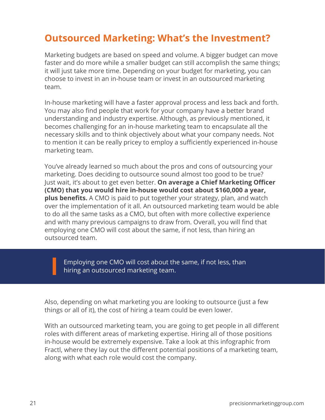### **Outsourced Marketing: What's the Investment?**

Marketing budgets are based on speed and volume. A bigger budget can move faster and do more while a smaller budget can still accomplish the same things; it will just take more time. Depending on your budget for marketing, you can choose to invest in an in-house team or invest in an outsourced marketing team.

In-house marketing will have a faster approval process and less back and forth. You may also find people that work for your company have a better brand understanding and industry expertise. Although, as previously mentioned, it becomes challenging for an in-house marketing team to encapsulate all the necessary skills and to think objectively about what your company needs. Not to mention it can be really pricey to employ a sufficiently experienced in-house marketing team.

You've already learned so much about the pros and cons of outsourcing your marketing. Does deciding to outsource sound almost too good to be true? Just wait, it's about to get even better. **On average a Chief Marketing Officer (CMO) that you would hire in-house would cost about \$160,000 a year, plus benefits.** A CMO is paid to put together your strategy, plan, and watch over the implementation of it all. An outsourced marketing team would be able to do all the same tasks as a CMO, but often with more collective experience and with many previous campaigns to draw from. Overall, you will find that employing one CMO will cost about the same, if not less, than hiring an outsourced team.

Employing one CMO will cost about the same, if not less, than hiring an outsourced marketing team.

Also, depending on what marketing you are looking to outsource (just a few things or all of it), the cost of hiring a team could be even lower.

With an outsourced marketing team, you are going to get people in all different roles with different areas of marketing expertise. Hiring all of those positions in-house would be extremely expensive. Take a look at this infographic from Fractl, where they lay out the different potential positions of a marketing team, along with what each role would cost the company.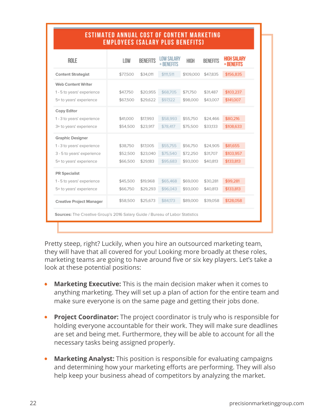| ROLE                       | LOW      | <b>BENEFITS</b> | <b>LOW SALARY</b><br>+ BENEFITS | HIGH      | <b>BENEFITS</b> | <b>HIGH SALARY</b><br>+ BENEFITS |
|----------------------------|----------|-----------------|---------------------------------|-----------|-----------------|----------------------------------|
| <b>Content Strategist</b>  | \$77,500 | \$34,011        | \$111,511                       | \$109,000 | \$47,835        | \$156,835                        |
| Web Content Writer         |          |                 |                                 |           |                 |                                  |
| 1 - 5 to years' experience | \$47,750 | \$20,955        | \$68,705                        | \$71,750  | \$31,487        | \$103,237                        |
| 5+ to years' experience    | \$67,500 | \$29,622        | \$97,122                        | \$98,000  | \$43,007        | \$141,007                        |
| Copy Editor                |          |                 |                                 |           |                 |                                  |
| 1 - 3 to years' experience | \$41,000 | \$17,993        | \$58,993                        | \$55,750  | \$24,466        | \$80,216                         |
| 3+ to years' experience    | \$54,500 | \$23,917        | \$78,417                        | \$75,500  | \$33,133        | \$108,633                        |
| Graphic Designer           |          |                 |                                 |           |                 |                                  |
| 1 - 3 to years' experience | \$38,750 | \$17,005        | \$55,755                        | \$56,750  | \$24,905        | \$81,655                         |
| 3 - 5 to years' experience | \$52,500 | \$23,040        | \$75,540                        | \$72,250  | \$31,707        | \$103,957                        |
| 5+ to years' experience    | \$66,500 | \$29,183        | \$95,683                        | \$93,000  | \$40,813        | \$133,813                        |
| <b>PR Specialist</b>       |          |                 |                                 |           |                 |                                  |
| 1 - 5 to years' experience | \$45,500 | \$19,968        | \$65,468                        | \$69,000  | \$30,281        | \$99,281                         |
| 5+ to years' experience    | \$66,750 | \$29,293        | \$96,043                        | \$93,000  | \$40,813        | \$133,813                        |
| Creative Project Manager   | \$58,500 | \$25,673        | \$84,173                        | \$89,000  | \$39,058        | \$128,058                        |

**ESTIMATED ANNUAL COST OF CONTENT MARKETING** 

Pretty steep, right? Luckily, when you hire an outsourced marketing team, they will have that all covered for you! Looking more broadly at these roles, marketing teams are going to have around five or six key players. Let's take a look at these potential positions:

- **Marketing Executive:** This is the main decision maker when it comes to anything marketing. They will set up a plan of action for the entire team and make sure everyone is on the same page and getting their jobs done.
- **• Project Coordinator:** The project coordinator is truly who is responsible for holding everyone accountable for their work. They will make sure deadlines are set and being met. Furthermore, they will be able to account for all the necessary tasks being assigned properly.
- **• Marketing Analyst:** This position is responsible for evaluating campaigns and determining how your marketing efforts are performing. They will also help keep your business ahead of competitors by analyzing the market.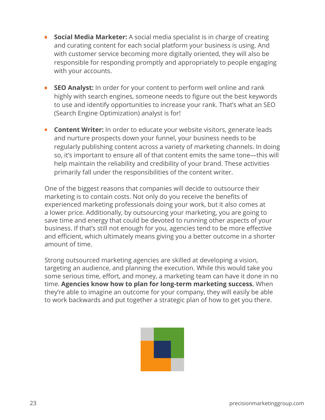- **• Social Media Marketer:** A social media specialist is in charge of creating and curating content for each social platform your business is using. And with customer service becoming more digitally oriented, they will also be responsible for responding promptly and appropriately to people engaging with your accounts.
- **• SEO Analyst:** In order for your content to perform well online and rank highly with search engines, someone needs to figure out the best keywords to use and identify opportunities to increase your rank. That's what an SEO (Search Engine Optimization) analyst is for!
- **• Content Writer:** In order to educate your website visitors, generate leads and nurture prospects down your funnel, your business needs to be regularly publishing content across a variety of marketing channels. In doing so, it's important to ensure all of that content emits the same tone—this will help maintain the reliability and credibility of your brand. These activities primarily fall under the responsibilities of the content writer.

One of the biggest reasons that companies will decide to outsource their marketing is to contain costs. Not only do you receive the benefits of experienced marketing professionals doing your work, but it also comes at a lower price. Additionally, by outsourcing your marketing, you are going to save time and energy that could be devoted to running other aspects of your business. If that's still not enough for you, agencies tend to be more effective and efficient, which ultimately means giving you a better outcome in a shorter amount of time.

Strong outsourced marketing agencies are skilled at developing a vision, targeting an audience, and planning the execution. While this would take you some serious time, effort, and money, a marketing team can have it done in no time. **Agencies know how to plan for long-term marketing success.** When they're able to imagine an outcome for your company, they will easily be able to work backwards and put together a strategic plan of how to get you there.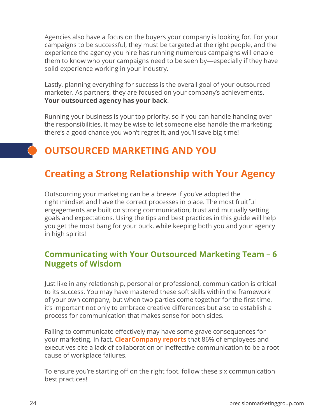Agencies also have a focus on the buyers your company is looking for. For your campaigns to be successful, they must be targeted at the right people, and the experience the agency you hire has running numerous campaigns will enable them to know who your campaigns need to be seen by—especially if they have solid experience working in your industry.

Lastly, planning everything for success is the overall goal of your outsourced marketer. As partners, they are focused on your company's achievements. **Your outsourced agency has your back**.

Running your business is your top priority, so if you can handle handing over the responsibilities, it may be wise to let someone else handle the marketing; there's a good chance you won't regret it, and you'll save big-time!

## **OUTSOURCED MARKETING AND YOU**

### **Creating a Strong Relationship with Your Agency**

Outsourcing your marketing can be a breeze if you've adopted the right mindset and have the correct processes in place. The most fruitful engagements are built on strong communication, trust and mutually setting goals and expectations. Using the tips and best practices in this guide will help you get the most bang for your buck, while keeping both you and your agency in high spirits!

### **Communicating with Your Outsourced Marketing Team – 6 Nuggets of Wisdom**

Just like in any relationship, personal or professional, communication is critical to its success. You may have mastered these soft skills within the framework of your own company, but when two parties come together for the first time, it's important not only to embrace creative differences but also to establish a process for communication that makes sense for both sides.

Failing to communicate effectively may have some grave consequences for your marketing. In fact, **[ClearCompany reports](https://blog.clearcompany.com/7-workplace-collaboration-statistics-that-will-have-you-knocking-down-cubicles)** that 86% of employees and executives cite a lack of collaboration or ineffective communication to be a root cause of workplace failures.

To ensure you're starting off on the right foot, follow these six communication best practices!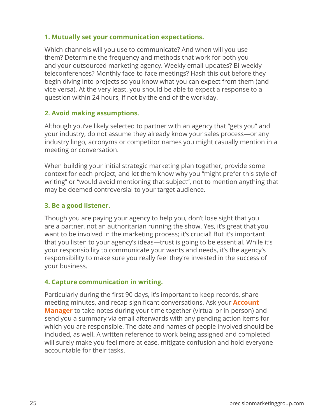#### **1. Mutually set your communication expectations.**

Which channels will you use to communicate? And when will you use them? Determine the frequency and methods that work for both you and your outsourced marketing agency. Weekly email updates? Bi-weekly teleconferences? Monthly face-to-face meetings? Hash this out before they begin diving into projects so you know what you can expect from them (and vice versa). At the very least, you should be able to expect a response to a question within 24 hours, if not by the end of the workday.

#### **2. Avoid making assumptions.**

Although you've likely selected to partner with an agency that "gets you" and your industry, do not assume they already know your sales process—or any industry lingo, acronyms or competitor names you might casually mention in a meeting or conversation.

When building your initial strategic marketing plan together, provide some context for each project, and let them know why you "might prefer this style of writing" or "would avoid mentioning that subject", not to mention anything that may be deemed controversial to your target audience.

#### **3. Be a good listener.**

Though you are paying your agency to help you, don't lose sight that you are a partner, not an authoritarian running the show. Yes, it's great that you want to be involved in the marketing process; it's crucial! But it's important that you listen to your agency's ideas—trust is going to be essential. While it's your responsibility to communicate your wants and needs, it's the agency's responsibility to make sure you really feel they're invested in the success of your business.

#### **4. Capture communication in writing.**

Particularly during the first 90 days, it's important to keep records, share meeting minutes, and recap significant conversations. Ask your **[Account](https://www.precisionmarketinggroup.com/blog/4-tips-for-collaborating-with-your-marketing-agency-account-manager)  [Manager](https://www.precisionmarketinggroup.com/blog/4-tips-for-collaborating-with-your-marketing-agency-account-manager)** to take notes during your time together (virtual or in-person) and send you a summary via email afterwards with any pending action items for which you are responsible. The date and names of people involved should be included, as well. A written reference to work being assigned and completed will surely make you feel more at ease, mitigate confusion and hold everyone accountable for their tasks.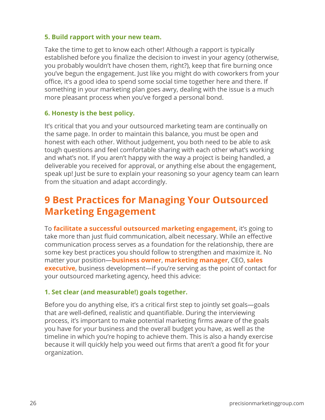#### **5. Build rapport with your new team.**

Take the time to get to know each other! Although a rapport is typically established before you finalize the decision to invest in your agency (otherwise, you probably wouldn't have chosen them, right?), keep that fire burning once you've begun the engagement. Just like you might do with coworkers from your office, it's a good idea to spend some social time together here and there. If something in your marketing plan goes awry, dealing with the issue is a much more pleasant process when you've forged a personal bond.

#### **6. Honesty is the best policy.**

It's critical that you and your outsourced marketing team are continually on the same page. In order to maintain this balance, you must be open and honest with each other. Without judgement, you both need to be able to ask tough questions and feel comfortable sharing with each other what's working and what's not. If you aren't happy with the way a project is being handled, a deliverable you received for approval, or anything else about the engagement, speak up! Just be sure to explain your reasoning so your agency team can learn from the situation and adapt accordingly.

### **9 Best Practices for Managing Your Outsourced Marketing Engagement**

To **[facilitate a successful outsourced marketing engagement](https://www.precisionmarketinggroup.com/blog/bid/95223/6-Tips-for-Managing-Your-Outsourced-Marketing-Agency)**, it's going to take more than just fluid communication, albeit necessary. While an effective communication process serves as a foundation for the relationship, there are some key best practices you should follow to strengthen and maximize it. No matter your position—**[business owner](https://www.precisionmarketinggroup.com/blog/the-healing-powers-of-outsourced-marketing-for-b2b-company-owners)**, **[marketing manager](https://www.precisionmarketinggroup.com/blog/outsourced-marketing-solutions-for-marketing-manager-superheroes)**, CEO, **[sales](https://www.precisionmarketinggroup.com/blog/outsourced-marketing-for-b2b-sales-executives)  [executive](https://www.precisionmarketinggroup.com/blog/outsourced-marketing-for-b2b-sales-executives)**, business development—if you're serving as the point of contact for your outsourced marketing agency, heed this advice:

#### **1. Set clear (and measurable!) goals together.**

Before you do anything else, it's a critical first step to jointly set goals—goals that are well-defined, realistic and quantifiable. During the interviewing process, it's important to make potential marketing firms aware of the goals you have for your business and the overall budget you have, as well as the timeline in which you're hoping to achieve them. This is also a handy exercise because it will quickly help you weed out firms that aren't a good fit for your organization.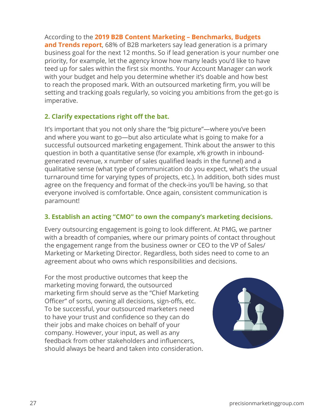According to the **[2019 B2B Content Marketing – Benchmarks, Budgets](https://contentmarketinginstitute.com/wp-content/uploads/2018/10/2019_B2B_Research_Final.pdf)  [and Trends report](https://contentmarketinginstitute.com/wp-content/uploads/2018/10/2019_B2B_Research_Final.pdf)**, 68% of B2B marketers say lead generation is a primary business goal for the next 12 months. So if lead generation is your number one priority, for example, let the agency know how many leads you'd like to have teed up for sales within the first six months. Your Account Manager can work with your budget and help you determine whether it's doable and how best to reach the proposed mark. With an outsourced marketing firm, you will be setting and tracking goals regularly, so voicing you ambitions from the get-go is imperative.

#### **2. Clarify expectations right off the bat.**

It's important that you not only share the "big picture"—where you've been and where you want to go—but also articulate what is going to make for a successful outsourced marketing engagement. Think about the answer to this question in both a quantitative sense (for example, x% growth in inboundgenerated revenue, x number of sales qualified leads in the funnel) and a qualitative sense (what type of communication do you expect, what's the usual turnaround time for varying types of projects, etc.). In addition, both sides must agree on the frequency and format of the check-ins you'll be having, so that everyone involved is comfortable. Once again, consistent communication is paramount!

#### **3. Establish an acting "CMO" to own the company's marketing decisions.**

Every outsourcing engagement is going to look different. At PMG, we partner with a breadth of companies, where our primary points of contact throughout the engagement range from the business owner or CEO to the VP of Sales/ Marketing or Marketing Director. Regardless, both sides need to come to an agreement about who owns which responsibilities and decisions.

For the most productive outcomes that keep the marketing moving forward, the outsourced marketing firm should serve as the "Chief Marketing Officer" of sorts, owning all decisions, sign-offs, etc. To be successful, your outsourced marketers need to have your trust and confidence so they can do their jobs and make choices on behalf of your company. However, your input, as well as any feedback from other stakeholders and influencers, should always be heard and taken into consideration.

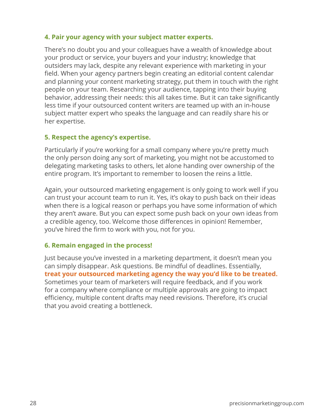#### **4. Pair your agency with your subject matter experts.**

There's no doubt you and your colleagues have a wealth of knowledge about your product or service, your buyers and your industry; knowledge that outsiders may lack, despite any relevant experience with marketing in your field. When your agency partners begin creating an editorial content calendar and planning your content marketing strategy, put them in touch with the right people on your team. Researching your audience, tapping into their buying behavior, addressing their needs: this all takes time. But it can take significantly less time if your outsourced content writers are teamed up with an in-house subject matter expert who speaks the language and can readily share his or her expertise.

#### **5. Respect the agency's expertise.**

Particularly if you're working for a small company where you're pretty much the only person doing any sort of marketing, you might not be accustomed to delegating marketing tasks to others, let alone handing over ownership of the entire program. It's important to remember to loosen the reins a little.

Again, your outsourced marketing engagement is only going to work well if you can trust your account team to run it. Yes, it's okay to push back on their ideas when there is a logical reason or perhaps you have some information of which they aren't aware. But you can expect some push back on your own ideas from a credible agency, too. Welcome those differences in opinion! Remember, you've hired the firm to work with you, not for you.

#### **6. Remain engaged in the process!**

Just because you've invested in a marketing department, it doesn't mean you can simply disappear. Ask questions. Be mindful of deadlines. Essentially, **[treat your outsourced marketing agency the way you'd like to be treated.](https://www.precisionmarketinggroup.com/blog/the-real-scoop-on-outsourced-marketing)** Sometimes your team of marketers will require feedback, and if you work for a company where compliance or multiple approvals are going to impact efficiency, multiple content drafts may need revisions. Therefore, it's crucial that you avoid creating a bottleneck.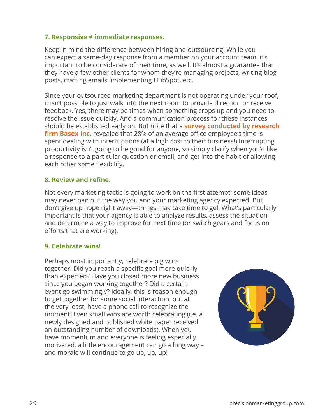#### **7. Responsive ≠ immediate responses.**

Keep in mind the difference between hiring and outsourcing. While you can expect a same-day response from a member on your account team, it's important to be considerate of their time, as well. It's almost a guarantee that they have a few other clients for whom they're managing projects, writing blog posts, crafting emails, implementing HubSpot, etc.

Since your outsourced marketing department is not operating under your roof, it isn't possible to just walk into the next room to provide direction or receive feedback. Yes, there may be times when something crops up and you need to resolve the issue quickly. And a communication process for these instances should be established early on. But note that a **[survey conducted by research](https://www.huffpost.com/entry/pay-attention-because-it-impacts-your-productivity_b_10025996)  [firm Basex Inc](https://www.huffpost.com/entry/pay-attention-because-it-impacts-your-productivity_b_10025996).** revealed that 28% of an average office employee's time is spent dealing with interruptions (at a high cost to their business!) Interrupting productivity isn't going to be good for anyone, so simply clarify when you'd like a response to a particular question or email, and get into the habit of allowing each other some flexibility.

#### **8. Review and refine.**

Not every marketing tactic is going to work on the first attempt; some ideas may never pan out the way you and your marketing agency expected. But don't give up hope right away—things may take time to gel. What's particularly important is that your agency is able to analyze results, assess the situation and determine a way to improve for next time (or switch gears and focus on efforts that are working).

#### **9. Celebrate wins!**

Perhaps most importantly, celebrate big wins together! Did you reach a specific goal more quickly than expected? Have you closed more new business since you began working together? Did a certain event go swimmingly? Ideally, this is reason enough to get together for some social interaction, but at the very least, have a phone call to recognize the moment! Even small wins are worth celebrating (i.e. a newly designed and published white paper received an outstanding number of downloads). When you have momentum and everyone is feeling especially motivated, a little encouragement can go a long way – and morale will continue to go up, up, up!

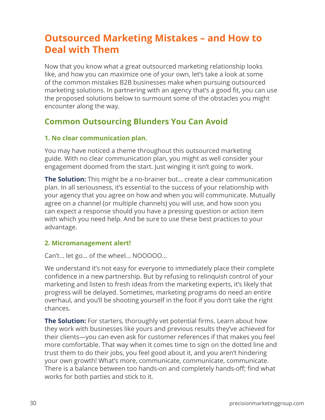### **Outsourced Marketing Mistakes – and How to Deal with Them**

Now that you know what a great outsourced marketing relationship looks like, and how you can maximize one of your own, let's take a look at some of the common mistakes B2B businesses make when pursuing outsourced marketing solutions. In partnering with an agency that's a good fit, you can use the proposed solutions below to surmount some of the obstacles you might encounter along the way.

### **Common Outsourcing Blunders You Can Avoid**

#### **1. No clear communication plan.**

You may have noticed a theme throughout this outsourced marketing guide. With no clear communication plan, you might as well consider your engagement doomed from the start. Just winging it isn't going to work.

**The Solution:** This might be a no-brainer but... create a clear communication plan. In all seriousness, it's essential to the success of your relationship with your agency that you agree on how and when you will communicate. Mutually agree on a channel (or multiple channels) you will use, and how soon you can expect a response should you have a pressing question or action item with which you need help. And be sure to use these best practices to your advantage.

#### **2. Micromanagement alert!**

Can't… let go… of the wheel… NOOOOO...

We understand it's not easy for everyone to immediately place their complete confidence in a new partnership. But by refusing to relinquish control of your marketing and listen to fresh ideas from the marketing experts, it's likely that progress will be delayed. Sometimes, marketing programs do need an entire overhaul, and you'll be shooting yourself in the foot if you don't take the right chances.

**The Solution:** For starters, thoroughly vet potential firms. Learn about how they work with businesses like yours and previous results they've achieved for their clients—you can even ask for customer references if that makes you feel more comfortable. That way when it comes time to sign on the dotted line and trust them to do their jobs, you feel good about it, and you aren't hindering your own growth! What's more, communicate, communicate, communicate. There is a balance between too hands-on and completely hands-off; find what works for both parties and stick to it.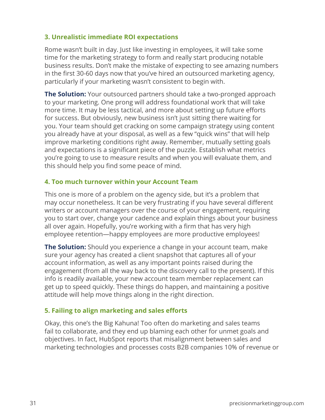#### **3. Unrealistic immediate ROI expectations**

Rome wasn't built in day. Just like investing in employees, it will take some time for the marketing strategy to form and really start producing notable business results. Don't make the mistake of expecting to see amazing numbers in the first 30-60 days now that you've hired an outsourced marketing agency, particularly if your marketing wasn't consistent to begin with.

**The Solution:** Your outsourced partners should take a two-pronged approach to your marketing. One prong will address foundational work that will take more time. It may be less tactical, and more about setting up future efforts for success. But obviously, new business isn't just sitting there waiting for you. Your team should get cracking on some campaign strategy using content you already have at your disposal, as well as a few "quick wins" that will help improve marketing conditions right away. Remember, mutually setting goals and expectations is a significant piece of the puzzle. Establish what metrics you're going to use to measure results and when you will evaluate them, and this should help you find some peace of mind.

#### **4. Too much turnover within your Account Team**

This one is more of a problem on the agency side, but it's a problem that may occur nonetheless. It can be very frustrating if you have several different writers or account managers over the course of your engagement, requiring you to start over, change your cadence and explain things about your business all over again. Hopefully, you're working with a firm that has very high employee retention—happy employees are more productive employees!

**The Solution:** Should you experience a change in your account team, make sure your agency has created a client snapshot that captures all of your account information, as well as any important points raised during the engagement (from all the way back to the discovery call to the present). If this info is readily available, your new account team member replacement can get up to speed quickly. These things do happen, and maintaining a positive attitude will help move things along in the right direction.

#### **5. Failing to align marketing and sales efforts**

Okay, this one's the Big Kahuna! Too often do marketing and sales teams fail to collaborate, and they end up blaming each other for unmet goals and objectives. In fact, HubSpot reports that misalignment between sales and marketing technologies and processes costs B2B companies 10% of revenue or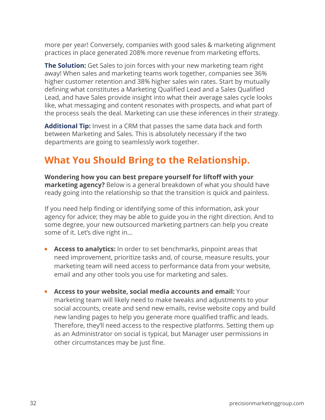more per year! Conversely, companies with good sales & marketing alignment practices in place generated 208% more revenue from marketing efforts.

**The Solution:** Get Sales to join forces with your new marketing team right away! When sales and marketing teams work together, companies see 36% higher customer retention and 38% higher sales win rates. Start by mutually defining what constitutes a Marketing Qualified Lead and a Sales Qualified Lead, and have Sales provide insight into what their average sales cycle looks like, what messaging and content resonates with prospects, and what part of the process seals the deal. Marketing can use these inferences in their strategy.

**Additional Tip:** Invest in a CRM that passes the same data back and forth between Marketing and Sales. This is absolutely necessary if the two departments are going to seamlessly work together.

### **What You Should Bring to the Relationship.**

**Wondering how you can best prepare yourself for liftoff with your marketing agency?** Below is a general breakdown of what you should have ready going into the relationship so that the transition is quick and painless.

If you need help finding or identifying some of this information, ask your agency for advice; they may be able to guide you in the right direction. And to some degree, your new outsourced marketing partners can help you create some of it. Let's dive right in...

- **• Access to analytics:** In order to set benchmarks, pinpoint areas that need improvement, prioritize tasks and, of course, measure results, your marketing team will need access to performance data from your website, email and any other tools you use for marketing and sales.
- **• Access to your website, social media accounts and email:** Your marketing team will likely need to make tweaks and adjustments to your social accounts, create and send new emails, revise website copy and build new landing pages to help you generate more qualified traffic and leads. Therefore, they'll need access to the respective platforms. Setting them up as an Administrator on social is typical, but Manager user permissions in other circumstances may be just fine.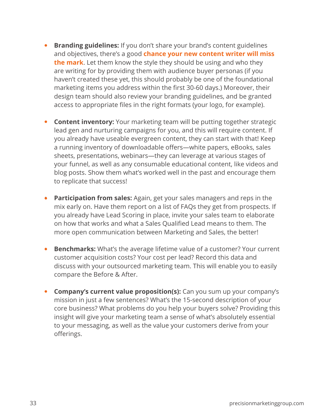- **• Branding guidelines:** If you don't share your brand's content guidelines and objectives, there's a good **[chance your new content writer will miss](https://www.precisionmarketinggroup.com/blog/the-struggle-is-real-why-most-companies-fail-with-freelance-writers)  [the mark](https://www.precisionmarketinggroup.com/blog/the-struggle-is-real-why-most-companies-fail-with-freelance-writers)**. Let them know the style they should be using and who they are writing for by providing them with audience buyer personas (if you haven't created these yet, this should probably be one of the foundational marketing items you address within the first 30-60 days.) Moreover, their design team should also review your branding guidelines, and be granted access to appropriate files in the right formats (your logo, for example).
- **Content inventory:** Your marketing team will be putting together strategic lead gen and nurturing campaigns for you, and this will require content. If you already have useable evergreen content, they can start with that! Keep a running inventory of downloadable offers—white papers, eBooks, sales sheets, presentations, webinars—they can leverage at various stages of your funnel, as well as any consumable educational content, like videos and blog posts. Show them what's worked well in the past and encourage them to replicate that success!
- **• Participation from sales:** Again, get your sales managers and reps in the mix early on. Have them report on a list of FAQs they get from prospects. If you already have Lead Scoring in place, invite your sales team to elaborate on how that works and what a Sales Qualified Lead means to them. The more open communication between Marketing and Sales, the better!
- **• Benchmarks:** What's the average lifetime value of a customer? Your current customer acquisition costs? Your cost per lead? Record this data and discuss with your outsourced marketing team. This will enable you to easily compare the Before & After.
- **• Company's current value proposition(s):** Can you sum up your company's mission in just a few sentences? What's the 15-second description of your core business? What problems do you help your buyers solve? Providing this insight will give your marketing team a sense of what's absolutely essential to your messaging, as well as the value your customers derive from your offerings.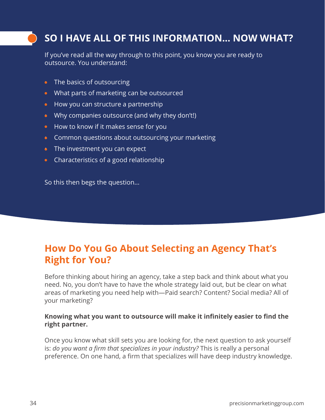### **SO I HAVE ALL OF THIS INFORMATION... NOW WHAT?**

If you've read all the way through to this point, you know you are ready to outsource. You understand:

- The basics of outsourcing
- What parts of marketing can be outsourced
- How you can structure a partnership
- Why companies outsource (and why they don't!)
- How to know if it makes sense for you
- Common questions about outsourcing your marketing
- The investment you can expect
- Characteristics of a good relationship

So this then begs the question...

### **How Do You Go About Selecting an Agency That's Right for You?**

Before thinking about hiring an agency, take a step back and think about what you need. No, you don't have to have the whole strategy laid out, but be clear on what areas of marketing you need help with—Paid search? Content? Social media? All of your marketing?

#### **Knowing what you want to outsource will make it infinitely easier to find the right partner.**

Once you know what skill sets you are looking for, the next question to ask yourself is: *do you want a firm that specializes in your industry?* This is really a personal preference. On one hand, a firm that specializes will have deep industry knowledge.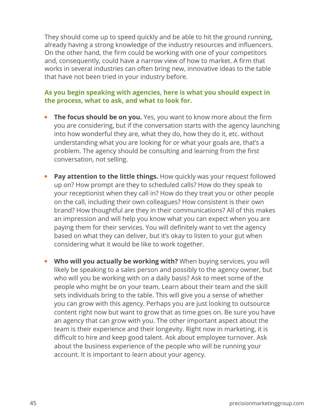They should come up to speed quickly and be able to hit the ground running, already having a strong knowledge of the industry resources and influencers. On the other hand, the firm could be working with one of your competitors and, consequently, could have a narrow view of how to market. A firm that works in several industries can often bring new, innovative ideas to the table that have not been tried in your industry before.

#### **As you begin speaking with agencies, here is what you should expect in the process, what to ask, and what to look for.**

- **The focus should be on you.** Yes, you want to know more about the firm you are considering, but if the conversation starts with the agency launching into how wonderful they are, what they do, how they do it, etc. without understanding what you are looking for or what your goals are, that's a problem. The agency should be consulting and learning from the first conversation, not selling.
- **•** Pay attention to the little things. How quickly was your request followed up on? How prompt are they to scheduled calls? How do they speak to your receptionist when they call in? How do they treat you or other people on the call, including their own colleagues? How consistent is their own brand? How thoughtful are they in their communications? All of this makes an impression and will help you know what you can expect when you are paying them for their services. You will definitely want to vet the agency based on what they can deliver, but it's okay to listen to your gut when considering what it would be like to work together.
- **Who will you actually be working with?** When buying services, you will likely be speaking to a sales person and possibly to the agency owner, but who will you be working with on a daily basis? Ask to meet some of the people who might be on your team. Learn about their team and the skill sets individuals bring to the table. This will give you a sense of whether you can grow with this agency. Perhaps you are just looking to outsource content right now but want to grow that as time goes on. Be sure you have an agency that can grow with you. The other important aspect about the team is their experience and their longevity. Right now in marketing, it is difficult to hire and keep good talent. Ask about employee turnover. Ask about the business experience of the people who will be running your account. It is important to learn about your agency.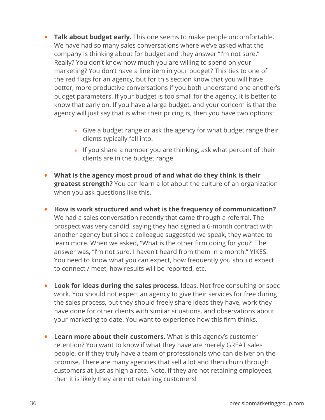- **• Talk about budget early.** This one seems to make people uncomfortable. We have had so many sales conversations where we've asked what the company is thinking about for budget and they answer "I'm not sure." Really? You don't know how much you are willing to spend on your marketing? You don't have a line item in your budget? This ties to one of the red flags for an agency, but for this section know that you will have better, more productive conversations if you both understand one another's budget parameters. If your budget is too small for the agency, it is better to know that early on. If you have a large budget, and your concern is that the agency will just say that is what their pricing is, then you have two options:
	- Give a budget range or ask the agency for what budget range their clients typically fall into.
	- If you share a number you are thinking, ask what percent of their clients are in the budget range.
- **• What is the agency most proud of and what do they think is their greatest strength?** You can learn a lot about the culture of an organization when you ask questions like this.
- **• How is work structured and what is the frequency of communication?**  We had a sales conversation recently that came through a referral. The prospect was very candid, saying they had signed a 6-month contract with another agency but since a colleague suggested we speak, they wanted to learn more. When we asked, "What is the other firm doing for you?" The answer was, "I'm not sure. I haven't heard from them in a month." YIKES! You need to know what you can expect, how frequently you should expect to connect / meet, how results will be reported, etc.
- **• Look for ideas during the sales process.** Ideas. Not free consulting or spec work. You should not expect an agency to give their services for free during the sales process, but they should freely share ideas they have, work they have done for other clients with similar situations, and observations about your marketing to date. You want to experience how this firm thinks.
- **• Learn more about their customers.** What is this agency's customer retention? You want to know if what they have are merely GREAT sales people, or if they truly have a team of professionals who can deliver on the promise. There are many agencies that sell a lot and then churn through customers at just as high a rate. Note, if they are not retaining employees, then it is likely they are not retaining customers!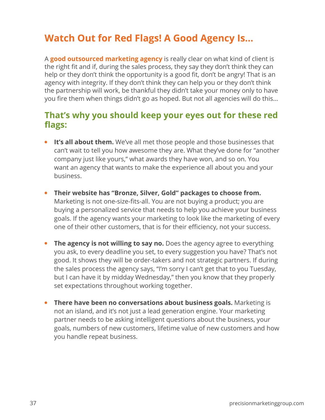### **Watch Out for Red Flags! A Good Agency Is...**

A **[good outsourced marketing agency](https://www.precisionmarketinggroup.com/blog/finding-an-outsourced-marketing-firm-avoid-the-lame-ducks)** is really clear on what kind of client is the right fit and if, during the sales process, they say they don't think they can help or they don't think the opportunity is a good fit, don't be angry! That is an agency with integrity. If they don't think they can help you or they don't think the partnership will work, be thankful they didn't take your money only to have you fire them when things didn't go as hoped. But not all agencies will do this...

### **That's why you should keep your eyes out for these red flags:**

- **• It's all about them.** We've all met those people and those businesses that can't wait to tell you how awesome they are. What they've done for "another company just like yours," what awards they have won, and so on. You want an agency that wants to make the experience all about you and your business.
- **• Their website has "Bronze, Silver, Gold" packages to choose from.**  Marketing is not one-size-fits-all. You are not buying a product; you are buying a personalized service that needs to help you achieve your business goals. If the agency wants your marketing to look like the marketing of every one of their other customers, that is for their efficiency, not your success.
- **• The agency is not willing to say no.** Does the agency agree to everything you ask, to every deadline you set, to every suggestion you have? That's not good. It shows they will be order-takers and not strategic partners. If during the sales process the agency says, "I'm sorry I can't get that to you Tuesday, but I can have it by midday Wednesday," then you know that they properly set expectations throughout working together.
- **There have been no conversations about business goals.** Marketing is not an island, and it's not just a lead generation engine. Your marketing partner needs to be asking intelligent questions about the business, your goals, numbers of new customers, lifetime value of new customers and how you handle repeat business.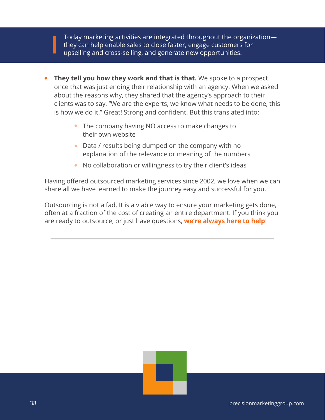Today marketing activities are integrated throughout the organization they can help enable sales to close faster, engage customers for upselling and cross-selling, and generate new opportunities.

- **• They tell you how they work and that is that.** We spoke to a prospect once that was just ending their relationship with an agency. When we asked about the reasons why, they shared that the agency's approach to their clients was to say, "We are the experts, we know what needs to be done, this is how we do it." Great! Strong and confident. But this translated into:
	- The company having NO access to make changes to their own website
	- Data / results being dumped on the company with no explanation of the relevance or meaning of the numbers
	- No collaboration or willingness to try their client's ideas

Having offered outsourced marketing services since 2002, we love when we can share all we have learned to make the journey easy and successful for you.

Outsourcing is not a fad. It is a viable way to ensure your marketing gets done, often at a fraction of the cost of creating an entire department. If you think you are ready to outsource, or just have questions, **[we're always here to help](https://www.precisionmarketinggroup.com/contact-marketing-firms-boston)**!